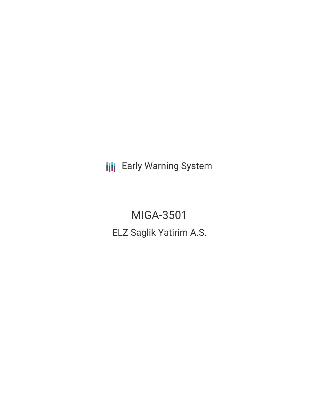**III** Early Warning System

MIGA-3501 ELZ Saglik Yatirim A.S.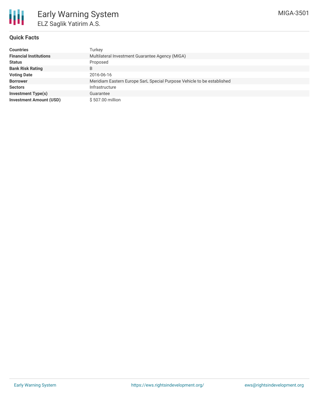

## **Quick Facts**

| <b>Countries</b>               | Turkey                                                                 |
|--------------------------------|------------------------------------------------------------------------|
| <b>Financial Institutions</b>  | Multilateral Investment Guarantee Agency (MIGA)                        |
| <b>Status</b>                  | Proposed                                                               |
| <b>Bank Risk Rating</b>        | B                                                                      |
| <b>Voting Date</b>             | 2016-06-16                                                             |
| <b>Borrower</b>                | Meridiam Eastern Europe SarL Special Purpose Vehicle to be established |
| <b>Sectors</b>                 | Infrastructure                                                         |
| <b>Investment Type(s)</b>      | Guarantee                                                              |
| <b>Investment Amount (USD)</b> | \$507.00 million                                                       |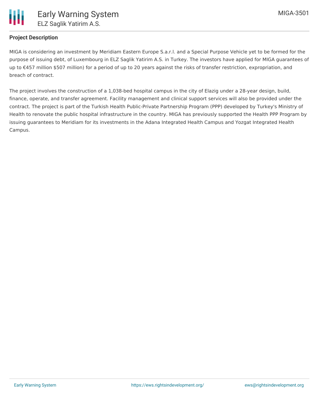

## **Project Description**

MIGA is considering an investment by Meridiam Eastern Europe S.a.r.l. and a Special Purpose Vehicle yet to be formed for the purpose of issuing debt, of Luxembourg in ELZ Saglik Yatirim A.S. in Turkey. The investors have applied for MIGA guarantees of up to €457 million \$507 million) for a period of up to 20 years against the risks of transfer restriction, expropriation, and breach of contract.

The project involves the construction of a 1,038-bed hospital campus in the city of Elazig under a 28-year design, build, finance, operate, and transfer agreement. Facility management and clinical support services will also be provided under the contract. The project is part of the Turkish Health Public-Private Partnership Program (PPP) developed by Turkey's Ministry of Health to renovate the public hospital infrastructure in the country. MIGA has previously supported the Health PPP Program by issuing guarantees to Meridiam for its investments in the Adana Integrated Health Campus and Yozgat Integrated Health Campus.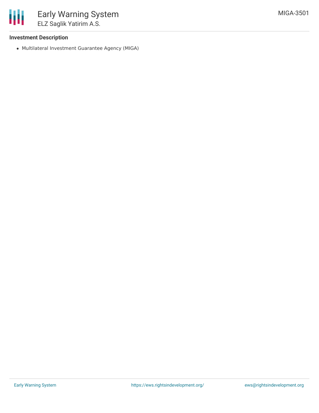## **Investment Description**

Multilateral Investment Guarantee Agency (MIGA)